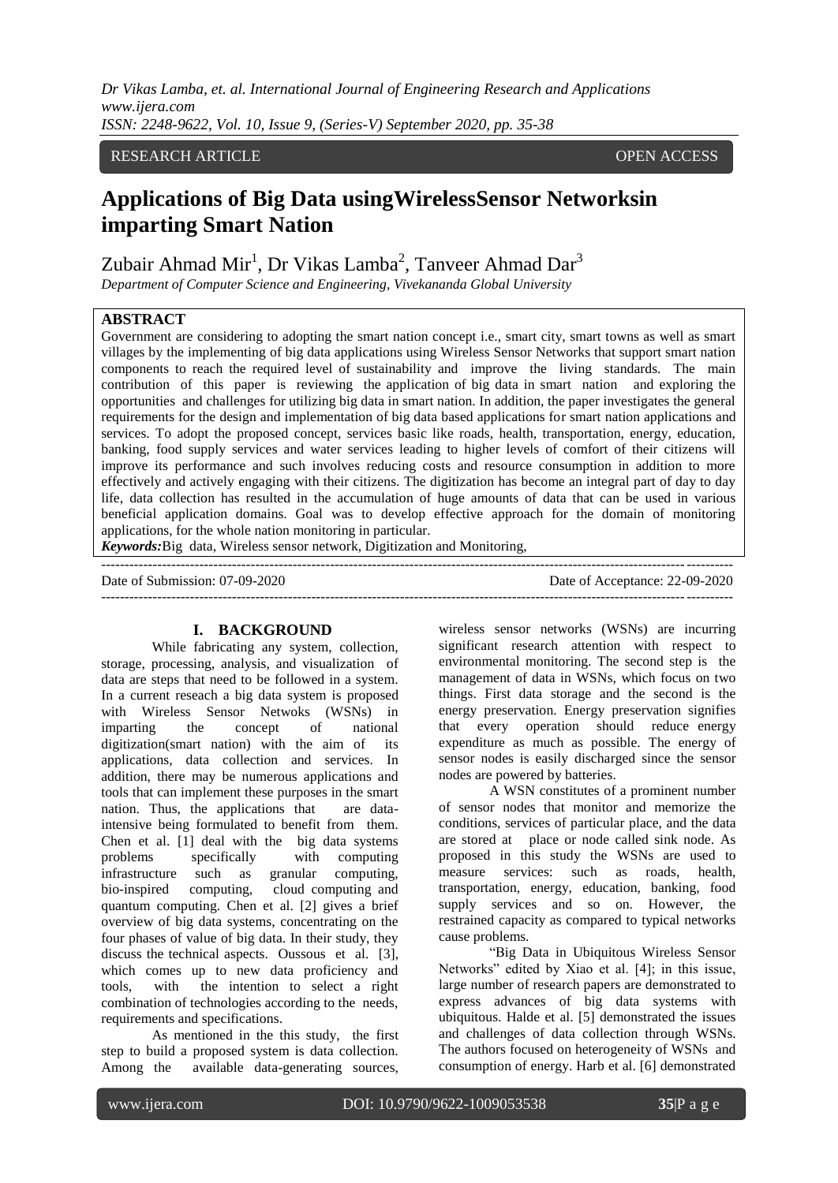*Dr Vikas Lamba, et. al. International Journal of Engineering Research and Applications www.ijera.com ISSN: 2248-9622, Vol. 10, Issue 9, (Series-V) September 2020, pp. 35-38*

# RESEARCH ARTICLE OPEN ACCESS

# **Applications of Big Data usingWirelessSensor Networksin imparting Smart Nation**

Zubair Ahmad Mir<sup>1</sup>, Dr Vikas Lamba<sup>2</sup>, Tanveer Ahmad Dar<sup>3</sup>

*Department of Computer Science and Engineering, Vivekananda Global University*

#### **ABSTRACT**

Government are considering to adopting the smart nation concept i.e., smart city, smart towns as well as smart villages by the implementing of big data applications using Wireless Sensor Networks that support smart nation components to reach the required level of sustainability and improve the living standards. The main contribution of this paper is reviewing the application of big data in smart nation and exploring the opportunities and challenges for utilizing big data in smart nation. In addition, the paper investigates the general requirements for the design and implementation of big data based applications for smart nation applications and services. To adopt the proposed concept, services basic like roads, health, transportation, energy, education, banking, food supply services and water services leading to higher levels of comfort of their citizens will improve its performance and such involves reducing costs and resource consumption in addition to more effectively and actively engaging with their citizens. The digitization has become an integral part of day to day life, data collection has resulted in the accumulation of huge amounts of data that can be used in various beneficial application domains. Goal was to develop effective approach for the domain of monitoring applications, for the whole nation monitoring in particular.

---------------------------------------------------------------------------------------------------------------------------------------

*Keywords:*Big data, Wireless sensor network, Digitization and Monitoring,

Date of Submission: 07-09-2020 Date of Acceptance: 22-09-2020 ---------------------------------------------------------------------------------------------------------------------------------------

#### **I. BACKGROUND**

While fabricating any system, collection, storage, processing, analysis, and visualization of data are steps that need to be followed in a system. In a current reseach a big data system is proposed with Wireless Sensor Netwoks (WSNs) in imparting the concept of national digitization(smart nation) with the aim of its applications, data collection and services. In addition, there may be numerous applications and tools that can implement these purposes in the smart nation. Thus, the applications that are dataintensive being formulated to benefit from them. Chen et al. [1] deal with the big data systems<br>problems specifically with computing problems specifically with computing infrastructure such as granular computing, bio-inspired computing, cloud computing and quantum computing. Chen et al. [2] gives a brief overview of big data systems, concentrating on the four phases of value of big data. In their study, they discuss the technical aspects. Oussous et al. [3], which comes up to new data proficiency and tools, with the intention to select a right combination of technologies according to the needs, requirements and specifications.

As mentioned in the this study, the first step to build a proposed system is data collection. Among the available data-generating sources, wireless sensor networks (WSNs) are incurring significant research attention with respect to environmental monitoring. The second step is the management of data in WSNs, which focus on two things. First data storage and the second is the energy preservation. Energy preservation signifies that every operation should reduce energy expenditure as much as possible. The energy of sensor nodes is easily discharged since the sensor nodes are powered by batteries.

A WSN constitutes of a prominent number of sensor nodes that monitor and memorize the conditions, services of particular place, and the data are stored at place or node called sink node. As proposed in this study the WSNs are used to measure services: such as roads, health, transportation, energy, education, banking, food supply services and so on. However, the restrained capacity as compared to typical networks cause problems.

"Big Data in Ubiquitous Wireless Sensor Networks" edited by Xiao et al. [4]; in this issue, large number of research papers are demonstrated to express advances of big data systems with ubiquitous. Halde et al. [5] demonstrated the issues and challenges of data collection through WSNs. The authors focused on heterogeneity of WSNs and consumption of energy. Harb et al. [6] demonstrated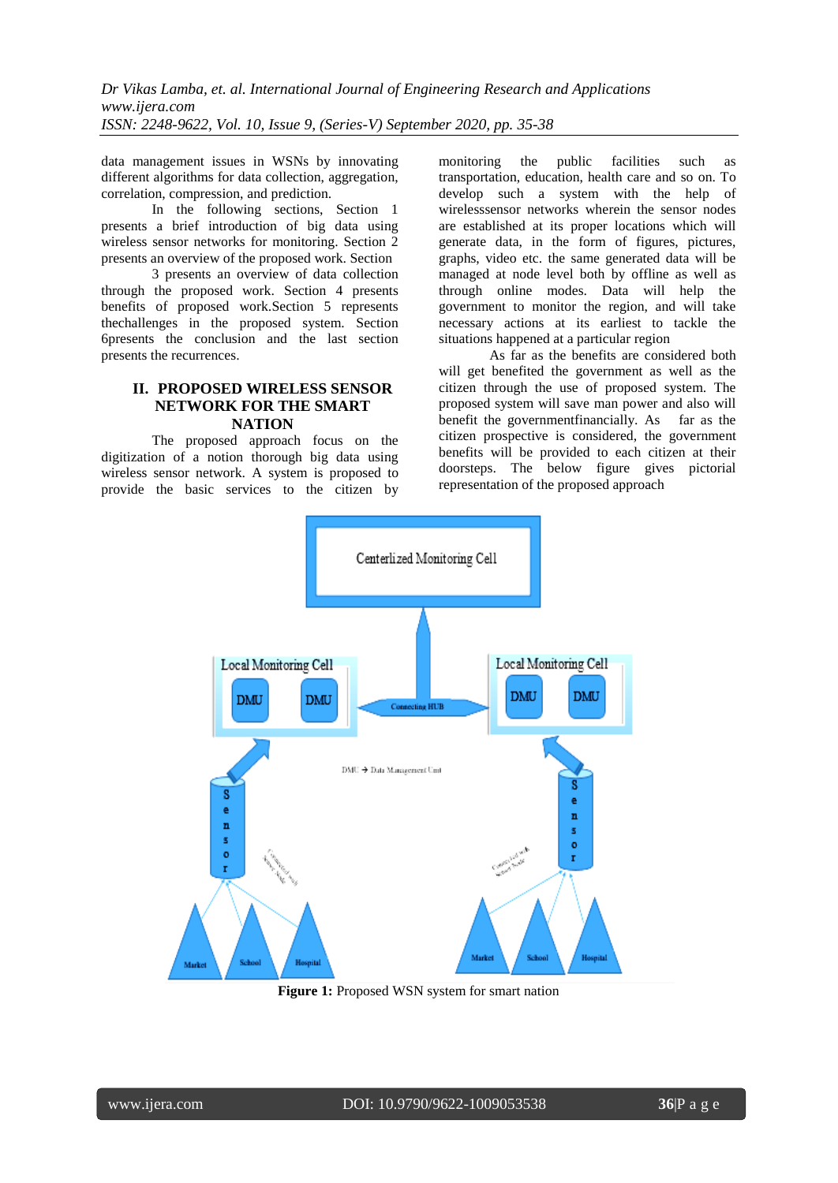data management issues in WSNs by innovating different algorithms for data collection, aggregation, correlation, compression, and prediction.

In the following sections, Section 1 presents a brief introduction of big data using wireless sensor networks for monitoring. Section 2 presents an overview of the proposed work. Section

3 presents an overview of data collection through the proposed work. Section 4 presents benefits of proposed work.Section 5 represents thechallenges in the proposed system. Section 6presents the conclusion and the last section presents the recurrences.

## **II. PROPOSED WIRELESS SENSOR NETWORK FOR THE SMART NATION**

The proposed approach focus on the digitization of a notion thorough big data using wireless sensor network. A system is proposed to provide the basic services to the citizen by monitoring the public facilities such as transportation, education, health care and so on. To develop such a system with the help of wirelesssensor networks wherein the sensor nodes are established at its proper locations which will generate data, in the form of figures, pictures, graphs, video etc. the same generated data will be managed at node level both by offline as well as through online modes. Data will help the government to monitor the region, and will take necessary actions at its earliest to tackle the situations happened at a particular region

As far as the benefits are considered both will get benefited the government as well as the citizen through the use of proposed system. The proposed system will save man power and also will<br>benefit the government financially. As far as the benefit the governmentfinancially. As citizen prospective is considered, the government benefits will be provided to each citizen at their doorsteps. The below figure gives pictorial representation of the proposed approach



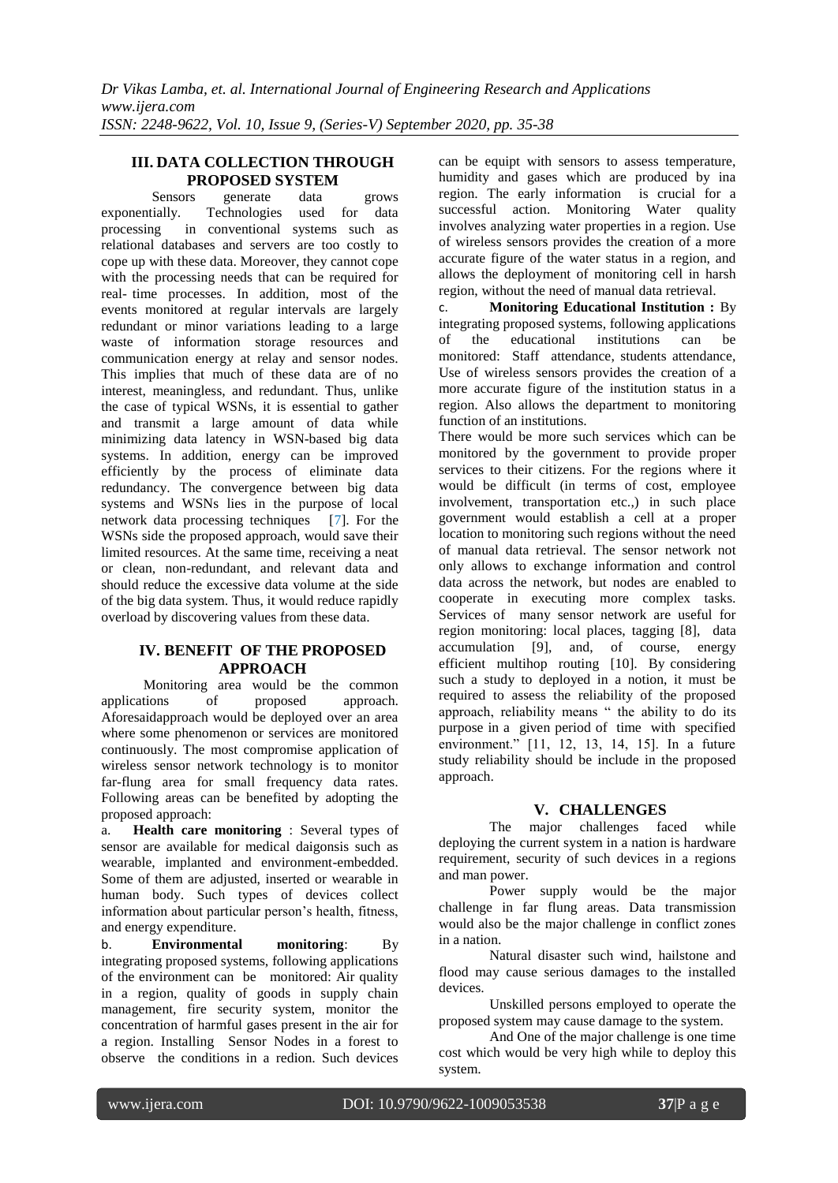## **III. DATA COLLECTION THROUGH PROPOSED SYSTEM**

Sensors generate data grows exponentially. Technologies used for data processing in conventional systems such as relational databases and servers are too costly to cope up with these data. Moreover, they cannot cope with the processing needs that can be required for real- time processes. In addition, most of the events monitored at regular intervals are largely redundant or minor variations leading to a large waste of information storage resources and communication energy at relay and sensor nodes. This implies that much of these data are of no interest, meaningless, and redundant. Thus, unlike the case of typical WSNs, it is essential to gather and transmit a large amount of data while minimizing data latency in WSN-based big data systems. In addition, energy can be improved efficiently by the process of eliminate data redundancy. The convergence between big data systems and WSNs lies in the purpose of local network data processing techniques [7]. For the WSNs side the proposed approach, would save their limited resources. At the same time, receiving a neat or clean, non-redundant, and relevant data and should reduce the excessive data volume at the side of the big data system. Thus, it would reduce rapidly overload by discovering values from these data.

# **IV. BENEFIT OF THE PROPOSED APPROACH**

Monitoring area would be the common applications of proposed approach. Aforesaidapproach would be deployed over an area where some phenomenon or services are monitored continuously. The most compromise application of wireless sensor network technology is to monitor far-flung area for small frequency data rates. Following areas can be benefited by adopting the proposed approach:

a. **Health care monitoring** : Several types of sensor are available for medical daigonsis such as wearable, implanted and environment-embedded. Some of them are adjusted, inserted or wearable in human body. Such types of devices collect information about particular person's health, fitness, and energy expenditure.

b. **Environmental monitoring**: By integrating proposed systems, following applications of the environment can be monitored: Air quality in a region, quality of goods in supply chain management, fire security system, monitor the concentration of harmful gases present in the air for a region. Installing Sensor Nodes in a forest to observe the conditions in a redion. Such devices

can be equipt with sensors to assess temperature, humidity and gases which are produced by ina region. The early information is crucial for a successful action. Monitoring Water quality involves analyzing water properties in a region. Use of wireless sensors provides the creation of a more accurate figure of the water status in a region, and allows the deployment of monitoring cell in harsh region, without the need of manual data retrieval.

c. **Monitoring Educational Institution :** By integrating proposed systems, following applications of the educational institutions can be monitored: Staff attendance, students attendance, Use of wireless sensors provides the creation of a more accurate figure of the institution status in a region. Also allows the department to monitoring function of an institutions.

There would be more such services which can be monitored by the government to provide proper services to their citizens. For the regions where it would be difficult (in terms of cost, employee involvement, transportation etc.,) in such place government would establish a cell at a proper location to monitoring such regions without the need of manual data retrieval. The sensor network not only allows to exchange information and control data across the network, but nodes are enabled to cooperate in executing more complex tasks. Services of many sensor network are useful for region monitoring: local places, tagging [8], data accumulation [9], and, of course, energy efficient multihop routing [10]. By considering such a study to deployed in a notion, it must be required to assess the reliability of the proposed approach, reliability means " the ability to do its purpose in a given period of time with specified environment." [11, 12, 13, 14, 15]. In a future study reliability should be include in the proposed approach.

## **V. CHALLENGES**

The major challenges faced while deploying the current system in a nation is hardware requirement, security of such devices in a regions and man power.

Power supply would be the major challenge in far flung areas. Data transmission would also be the major challenge in conflict zones in a nation.

Natural disaster such wind, hailstone and flood may cause serious damages to the installed devices.

Unskilled persons employed to operate the proposed system may cause damage to the system.

And One of the major challenge is one time cost which would be very high while to deploy this system.